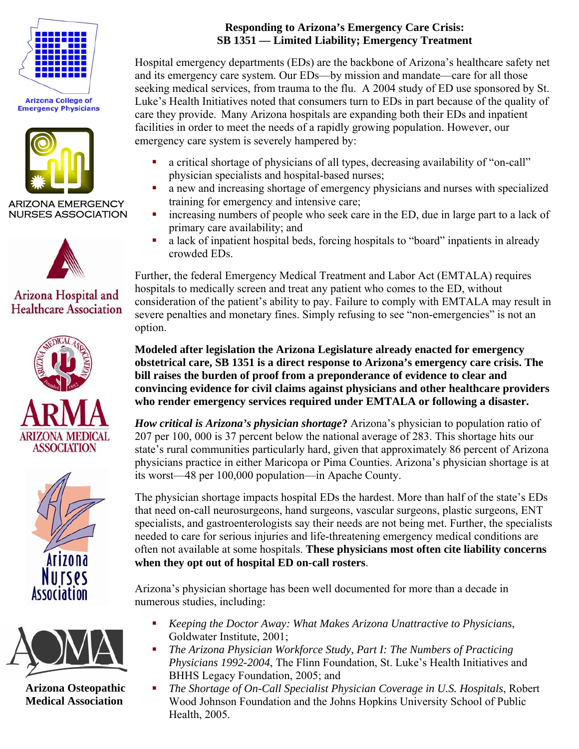

**Arizona College of Emergency Physicians** 



ARIZONA EMERGENCY NURSES ASSOCIATION



## Arizona Hospital and **Healthcare Association**







 **Arizona Osteopathic Medical Association** 

### **Responding to Arizona's Emergency Care Crisis: SB 1351 — Limited Liability; Emergency Treatment**

Hospital emergency departments (EDs) are the backbone of Arizona's healthcare safety net and its emergency care system. Our EDs—by mission and mandate—care for all those seeking medical services, from trauma to the flu. A 2004 study of ED use sponsored by St. Luke's Health Initiatives noted that consumers turn to EDs in part because of the quality of care they provide. Many Arizona hospitals are expanding both their EDs and inpatient facilities in order to meet the needs of a rapidly growing population. However, our emergency care system is severely hampered by:

- a critical shortage of physicians of all types, decreasing availability of "on-call" physician specialists and hospital-based nurses;
- a new and increasing shortage of emergency physicians and nurses with specialized training for emergency and intensive care;
- increasing numbers of people who seek care in the ED, due in large part to a lack of primary care availability; and
- a lack of inpatient hospital beds, forcing hospitals to "board" inpatients in already crowded EDs.

Further, the federal Emergency Medical Treatment and Labor Act (EMTALA) requires hospitals to medically screen and treat any patient who comes to the ED, without consideration of the patient's ability to pay. Failure to comply with EMTALA may result in severe penalties and monetary fines. Simply refusing to see "non-emergencies" is not an option.

**Modeled after legislation the Arizona Legislature already enacted for emergency obstetrical care, SB 1351 is a direct response to Arizona's emergency care crisis. The bill raises the burden of proof from a preponderance of evidence to clear and convincing evidence for civil claims against physicians and other healthcare providers who render emergency services required under EMTALA or following a disaster.** 

*How critical is Arizona's physician shortage***?** Arizona's physician to population ratio of 207 per 100, 000 is 37 percent below the national average of 283. This shortage hits our state's rural communities particularly hard, given that approximately 86 percent of Arizona physicians practice in either Maricopa or Pima Counties. Arizona's physician shortage is at its worst—48 per 100,000 population—in Apache County.

The physician shortage impacts hospital EDs the hardest. More than half of the state's EDs that need on-call neurosurgeons, hand surgeons, vascular surgeons, plastic surgeons, ENT specialists, and gastroenterologists say their needs are not being met. Further, the specialists needed to care for serious injuries and life-threatening emergency medical conditions are often not available at some hospitals. **These physicians most often cite liability concerns when they opt out of hospital ED on-call rosters**.

Arizona's physician shortage has been well documented for more than a decade in numerous studies, including:

- *Keeping the Doctor Away: What Makes Arizona Unattractive to Physicians*, Goldwater Institute, 2001;
- *The Arizona Physician Workforce Study, Part I: The Numbers of Practicing Physicians 1992-2004*, The Flinn Foundation, St. Luke's Health Initiatives and BHHS Legacy Foundation, 2005; and
- *The Shortage of On-Call Specialist Physician Coverage in U.S. Hospitals*, Robert Wood Johnson Foundation and the Johns Hopkins University School of Public Health, 2005.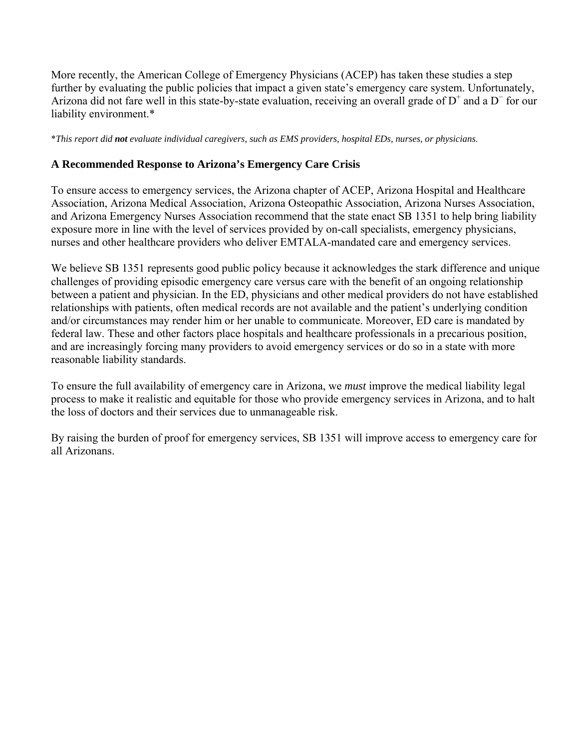More recently, the American College of Emergency Physicians (ACEP) has taken these studies a step further by evaluating the public policies that impact a given state's emergency care system. Unfortunately, Arizona did not fare well in this state-by-state evaluation, receiving an overall grade of  $D^+$  and a  $D^-$  for our liability environment.\*

\**This report did not evaluate individual caregivers, such as EMS providers, hospital EDs, nurses, or physicians*.

#### **A Recommended Response to Arizona's Emergency Care Crisis**

To ensure access to emergency services, the Arizona chapter of ACEP, Arizona Hospital and Healthcare Association, Arizona Medical Association, Arizona Osteopathic Association, Arizona Nurses Association, and Arizona Emergency Nurses Association recommend that the state enact SB 1351 to help bring liability exposure more in line with the level of services provided by on-call specialists, emergency physicians, nurses and other healthcare providers who deliver EMTALA-mandated care and emergency services.

We believe SB 1351 represents good public policy because it acknowledges the stark difference and unique challenges of providing episodic emergency care versus care with the benefit of an ongoing relationship between a patient and physician. In the ED, physicians and other medical providers do not have established relationships with patients, often medical records are not available and the patient's underlying condition and/or circumstances may render him or her unable to communicate. Moreover, ED care is mandated by federal law. These and other factors place hospitals and healthcare professionals in a precarious position, and are increasingly forcing many providers to avoid emergency services or do so in a state with more reasonable liability standards.

To ensure the full availability of emergency care in Arizona, we *must* improve the medical liability legal process to make it realistic and equitable for those who provide emergency services in Arizona, and to halt the loss of doctors and their services due to unmanageable risk.

By raising the burden of proof for emergency services, SB 1351 will improve access to emergency care for all Arizonans.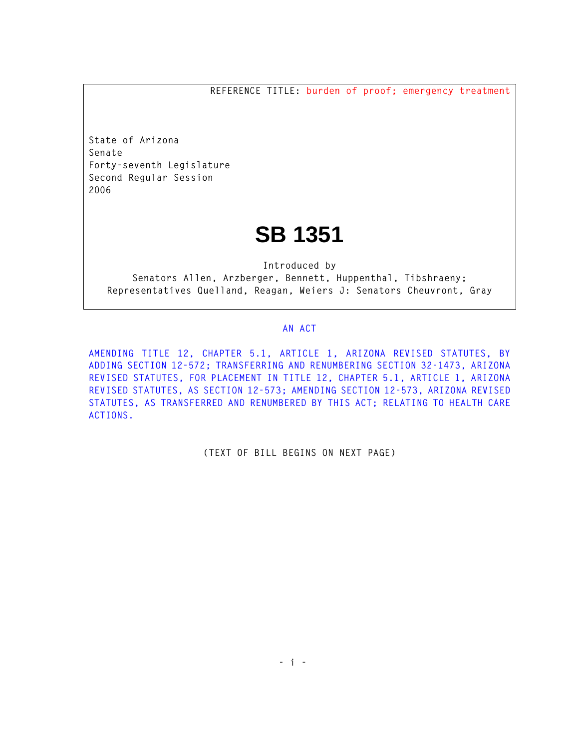**REFERENCE TITLE: burden of proof; emergency treatment**

**State of Arizona Senate Forty-seventh Legislature Second Regular Session 2006** 

# **SB 1351**

**Introduced by Senators Allen, Arzberger, Bennett, Huppenthal, Tibshraeny; Representatives Quelland, Reagan, Weiers J: Senators Cheuvront, Gray** 

#### **AN ACT**

**AMENDING TITLE 12, CHAPTER 5.1, ARTICLE 1, ARIZONA REVISED STATUTES, BY ADDING SECTION 12-572; TRANSFERRING AND RENUMBERING SECTION 32-1473, ARIZONA REVISED STATUTES, FOR PLACEMENT IN TITLE 12, CHAPTER 5.1, ARTICLE 1, ARIZONA REVISED STATUTES, AS SECTION 12-573; AMENDING SECTION 12-573, ARIZONA REVISED STATUTES, AS TRANSFERRED AND RENUMBERED BY THIS ACT; RELATING TO HEALTH CARE ACTIONS.** 

**(TEXT OF BILL BEGINS ON NEXT PAGE)**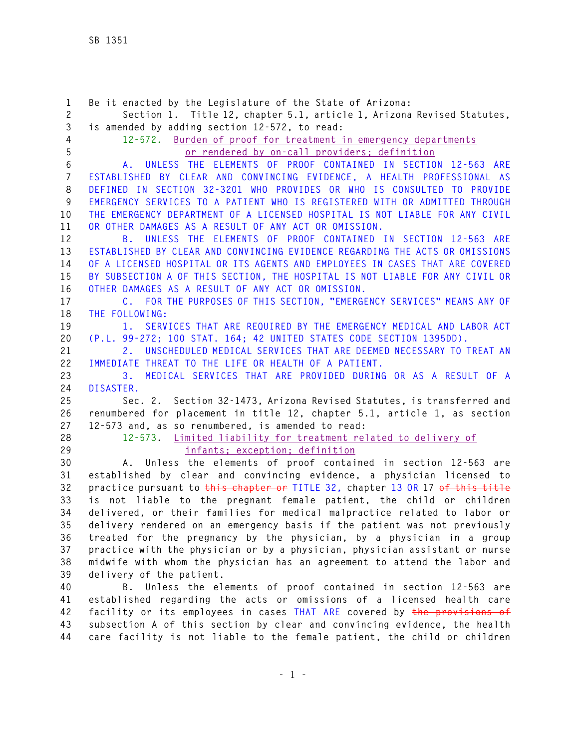**1 Be it enacted by the Legislature of the State of Arizona: 2 Section 1. Title 12, chapter 5.1, article 1, Arizona Revised Statutes, 3 is amended by adding section 12-572, to read: 4 12-572. Burden of proof for treatment in emergency departments 5 or rendered by on-call providers; definition 6 A. UNLESS THE ELEMENTS OF PROOF CONTAINED IN SECTION 12-563 ARE 7 ESTABLISHED BY CLEAR AND CONVINCING EVIDENCE, A HEALTH PROFESSIONAL AS 8 DEFINED IN SECTION 32-3201 WHO PROVIDES OR WHO IS CONSULTED TO PROVIDE 9 EMERGENCY SERVICES TO A PATIENT WHO IS REGISTERED WITH OR ADMITTED THROUGH 10 THE EMERGENCY DEPARTMENT OF A LICENSED HOSPITAL IS NOT LIABLE FOR ANY CIVIL 11 OR OTHER DAMAGES AS A RESULT OF ANY ACT OR OMISSION. 12 B. UNLESS THE ELEMENTS OF PROOF CONTAINED IN SECTION 12-563 ARE 13 ESTABLISHED BY CLEAR AND CONVINCING EVIDENCE REGARDING THE ACTS OR OMISSIONS 14 OF A LICENSED HOSPITAL OR ITS AGENTS AND EMPLOYEES IN CASES THAT ARE COVERED 15 BY SUBSECTION A OF THIS SECTION, THE HOSPITAL IS NOT LIABLE FOR ANY CIVIL OR 16 OTHER DAMAGES AS A RESULT OF ANY ACT OR OMISSION. 17 C. FOR THE PURPOSES OF THIS SECTION, "EMERGENCY SERVICES" MEANS ANY OF 18 THE FOLLOWING: 19 1. SERVICES THAT ARE REQUIRED BY THE EMERGENCY MEDICAL AND LABOR ACT 20 (P.L. 99-272; 100 STAT. 164; 42 UNITED STATES CODE SECTION 1395DD). 21 2. UNSCHEDULED MEDICAL SERVICES THAT ARE DEEMED NECESSARY TO TREAT AN 22 IMMEDIATE THREAT TO THE LIFE OR HEALTH OF A PATIENT. 23 3. MEDICAL SERVICES THAT ARE PROVIDED DURING OR AS A RESULT OF A 24 DISASTER. 25 Sec. 2. Section 32-1473, Arizona Revised Statutes, is transferred and 26 renumbered for placement in title 12, chapter 5.1, article 1, as section 27 12-573 and, as so renumbered, is amended to read: 28 12-573. Limited liability for treatment related to delivery of 29 infants; exception; definition 30 A. Unless the elements of proof contained in section 12-563 are 31 established by clear and convincing evidence, a physician licensed to 32 practice pursuant to this chapter or TITLE 32, chapter 13 OR 17 of this title 33 is not liable to the pregnant female patient, the child or children 34 delivered, or their families for medical malpractice related to labor or 35 delivery rendered on an emergency basis if the patient was not previously 36 treated for the pregnancy by the physician, by a physician in a group 37 practice with the physician or by a physician, physician assistant or nurse 38 midwife with whom the physician has an agreement to attend the labor and 39 delivery of the patient. 40 B. Unless the elements of proof contained in section 12-563 are 41 established regarding the acts or omissions of a licensed health care 42 facility or its employees in cases THAT ARE covered by the provisions of 43 subsection A of this section by clear and convincing evidence, the health** 

**44 care facility is not liable to the female patient, the child or children**